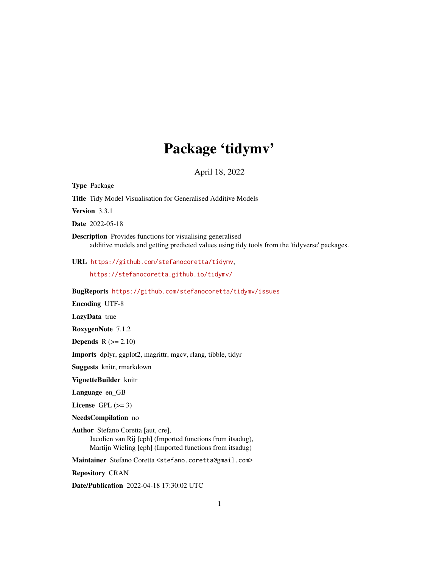## Package 'tidymv'

April 18, 2022

<span id="page-0-0"></span>Type Package

Title Tidy Model Visualisation for Generalised Additive Models

Version 3.3.1

Date 2022-05-18

Description Provides functions for visualising generalised additive models and getting predicted values using tidy tools from the 'tidyverse' packages.

URL <https://github.com/stefanocoretta/tidymv>,

<https://stefanocoretta.github.io/tidymv/>

BugReports <https://github.com/stefanocoretta/tidymv/issues>

Encoding UTF-8

LazyData true

RoxygenNote 7.1.2

**Depends**  $R$  ( $>= 2.10$ )

Imports dplyr, ggplot2, magrittr, mgcv, rlang, tibble, tidyr

Suggests knitr, rmarkdown

VignetteBuilder knitr

Language en\_GB

License GPL  $(>= 3)$ 

NeedsCompilation no

Author Stefano Coretta [aut, cre], Jacolien van Rij [cph] (Imported functions from itsadug), Martijn Wieling [cph] (Imported functions from itsadug)

Maintainer Stefano Coretta <stefano.coretta@gmail.com>

Repository CRAN

Date/Publication 2022-04-18 17:30:02 UTC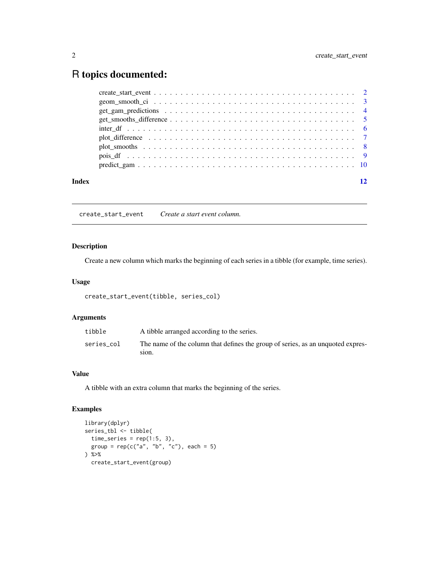### <span id="page-1-0"></span>R topics documented:

|       | geom smooth ci $\ldots \ldots \ldots \ldots \ldots \ldots \ldots \ldots \ldots \ldots \ldots \ldots$ |  |
|-------|------------------------------------------------------------------------------------------------------|--|
|       |                                                                                                      |  |
|       |                                                                                                      |  |
|       |                                                                                                      |  |
|       |                                                                                                      |  |
|       |                                                                                                      |  |
|       |                                                                                                      |  |
|       |                                                                                                      |  |
| Index |                                                                                                      |  |

create\_start\_event *Create a start event column.*

#### Description

Create a new column which marks the beginning of each series in a tibble (for example, time series).

#### Usage

```
create_start_event(tibble, series_col)
```
#### Arguments

| tibble     | A tibble arranged according to the series.                                               |
|------------|------------------------------------------------------------------------------------------|
| series col | The name of the column that defines the group of series, as an unquoted expres-<br>810N. |

#### Value

A tibble with an extra column that marks the beginning of the series.

```
library(dplyr)
series_tbl <- tibble(
 time\_series = rep(1:5, 3),group = rep(c("a", "b", "c"), each = 5)) %>%
  create_start_event(group)
```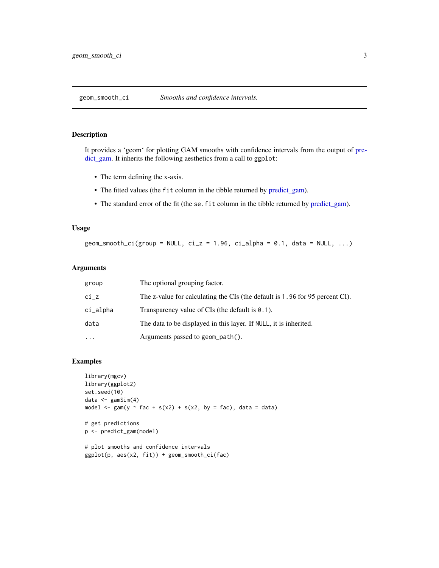<span id="page-2-0"></span>geom\_smooth\_ci *Smooths and confidence intervals.*

#### Description

It provides a 'geom' for plotting GAM smooths with confidence intervals from the output of [pre](#page-9-1)[dict\\_gam.](#page-9-1) It inherits the following aesthetics from a call to ggplot:

- The term defining the x-axis.
- The fitted values (the fit column in the tibble returned by [predict\\_gam\)](#page-9-1).
- The standard error of the fit (the se. fit column in the tibble returned by [predict\\_gam\)](#page-9-1).

#### Usage

geom\_smooth\_ci(group = NULL, ci\_z = 1.96, ci\_alpha =  $0.1$ , data = NULL, ...)

#### Arguments

| group     | The optional grouping factor.                                                |
|-----------|------------------------------------------------------------------------------|
| ci_z      | The z-value for calculating the CIs (the default is 1.96 for 95 percent CI). |
| ci_alpha  | Transparency value of $CIs$ (the default is $0.1$ ).                         |
| data      | The data to be displayed in this layer. If NULL, it is inherited.            |
| $\ddotsc$ | Arguments passed to geom_path().                                             |

```
library(mgcv)
library(ggplot2)
set.seed(10)
data \leq gamSim(4)model \leq gam(y \sim fac + s(x2) + s(x2, by = fac), data = data)
# get predictions
p <- predict_gam(model)
# plot smooths and confidence intervals
```

```
ggplot(p, aes(x2, fit)) + geom_smooth_ci(fac)
```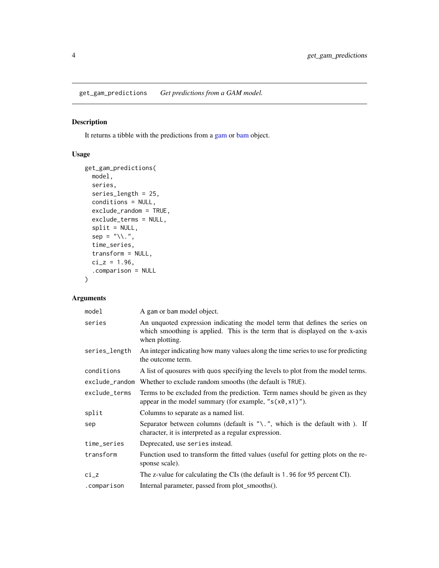<span id="page-3-0"></span>get\_gam\_predictions *Get predictions from a GAM model.*

#### Description

It returns a tibble with the predictions from a [gam](#page-0-0) or [bam](#page-0-0) object.

#### Usage

```
get_gam_predictions(
  model,
  series,
  series_length = 25,
  conditions = NULL,
  exclude_random = TRUE,
  exclude_terms = NULL,
  split = NULL,sep = "\\\ \langle \cdot \rangle",
  time_series,
  transform = NULL,
  ci_z = 1.96,
  .comparison = NULL
)
```
#### Arguments

| model          | A gam or bam model object.                                                                                                                                                    |
|----------------|-------------------------------------------------------------------------------------------------------------------------------------------------------------------------------|
| series         | An unquoted expression indicating the model term that defines the series on<br>which smoothing is applied. This is the term that is displayed on the x-axis<br>when plotting. |
| series_length  | An integer indicating how many values along the time series to use for predicting<br>the outcome term.                                                                        |
| conditions     | A list of quosures with quos specifying the levels to plot from the model terms.                                                                                              |
| exclude_random | Whether to exclude random smooths (the default is TRUE).                                                                                                                      |
| exclude_terms  | Terms to be excluded from the prediction. Term names should be given as they<br>appear in the model summary (for example, " $s(x0, x1)$ ").                                   |
| split          | Columns to separate as a named list.                                                                                                                                          |
| sep            | Separator between columns (default is " $\lambda$ ", which is the default with ). If<br>character, it is interpreted as a regular expression.                                 |
| time_series    | Deprecated, use series instead.                                                                                                                                               |
| transform      | Function used to transform the fitted values (useful for getting plots on the re-<br>sponse scale).                                                                           |
| $ci_z$         | The z-value for calculating the CIs (the default is 1.96 for 95 percent CI).                                                                                                  |
| .comparison    | Internal parameter, passed from plot_smooths().                                                                                                                               |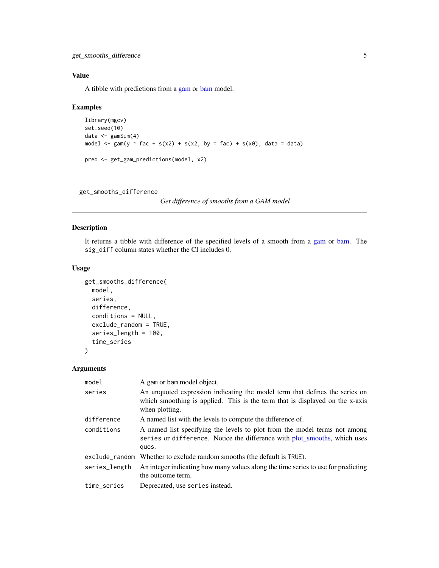<span id="page-4-0"></span>get\_smooths\_difference 5

#### Value

A tibble with predictions from a [gam](#page-0-0) or [bam](#page-0-0) model.

#### Examples

```
library(mgcv)
set.seed(10)
data \leq gamSim(4)model \leq gam(y \leq fac + s(x2) + s(x2, by = fac) + s(x0), data = data)
pred <- get_gam_predictions(model, x2)
```
get\_smooths\_difference

*Get difference of smooths from a GAM model*

#### Description

It returns a tibble with difference of the specified levels of a smooth from a [gam](#page-0-0) or [bam.](#page-0-0) The sig\_diff column states whether the CI includes 0.

#### Usage

```
get_smooths_difference(
 model,
  series,
 difference,
  conditions = NULL,
  exclude_random = TRUE,
  series_length = 100,
  time_series
\lambda
```
#### Arguments

| model          | A gam or bam model object.                                                                                                                                                    |
|----------------|-------------------------------------------------------------------------------------------------------------------------------------------------------------------------------|
| series         | An unquoted expression indicating the model term that defines the series on<br>which smoothing is applied. This is the term that is displayed on the x-axis<br>when plotting. |
| difference     | A named list with the levels to compute the difference of.                                                                                                                    |
| conditions     | A named list specifying the levels to plot from the model terms not among<br>series or difference. Notice the difference with plot_smooths, which uses<br>quos.               |
| exclude random | Whether to exclude random smooths (the default is TRUE).                                                                                                                      |
| series_length  | An integer indicating how many values along the time series to use for predicting<br>the outcome term.                                                                        |
| time_series    | Deprecated, use series instead.                                                                                                                                               |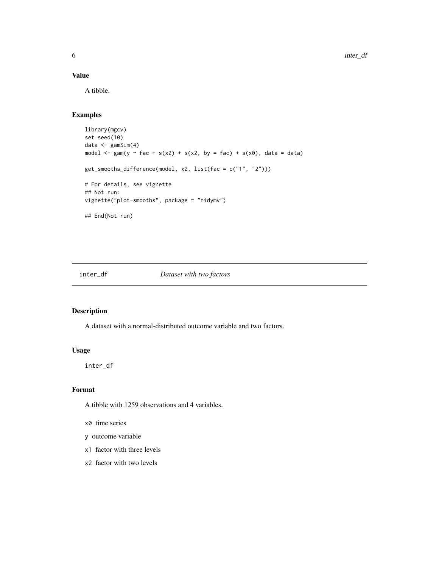#### Value

A tibble.

#### Examples

```
library(mgcv)
set.seed(10)
data <- gamSim(4)
model \leq gam(y \leq fac + s(x2) + s(x2, by = fac) + s(x0), data = data)
get_smooths_difference(model, x2, list(fac = c("1", "2")))
# For details, see vignette
## Not run:
vignette("plot-smooths", package = "tidymv")
## End(Not run)
```
inter\_df *Dataset with two factors*

#### Description

A dataset with a normal-distributed outcome variable and two factors.

#### Usage

inter\_df

#### Format

A tibble with 1259 observations and 4 variables.

x0 time series

- y outcome variable
- x1 factor with three levels
- x2 factor with two levels

<span id="page-5-0"></span>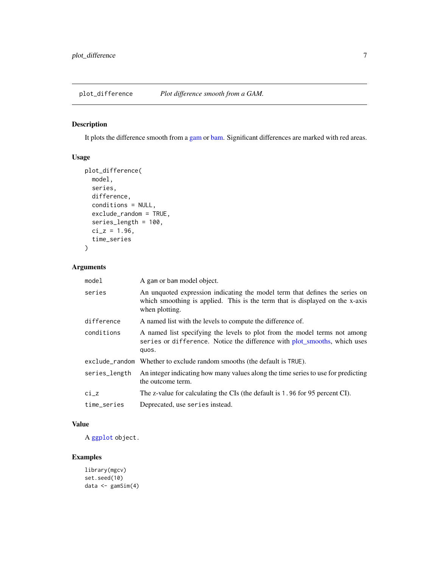<span id="page-6-0"></span>plot\_difference *Plot difference smooth from a GAM.*

#### Description

It plots the difference smooth from a [gam](#page-0-0) or [bam.](#page-0-0) Significant differences are marked with red areas.

#### Usage

```
plot_difference(
 model,
  series,
 difference,
 conditions = NULL,
 exclude_random = TRUE,
 series_length = 100,
 ci_z = 1.96,
 time_series
)
```
#### Arguments

| model         | A gam or bam model object.                                                                                                                                                    |
|---------------|-------------------------------------------------------------------------------------------------------------------------------------------------------------------------------|
| series        | An unquoted expression indicating the model term that defines the series on<br>which smoothing is applied. This is the term that is displayed on the x-axis<br>when plotting. |
| difference    | A named list with the levels to compute the difference of.                                                                                                                    |
| conditions    | A named list specifying the levels to plot from the model terms not among<br>series or difference. Notice the difference with plot_smooths, which uses<br>quos.               |
|               | exclude_random Whether to exclude random smooths (the default is TRUE).                                                                                                       |
| series_length | An integer indicating how many values along the time series to use for predicting<br>the outcome term.                                                                        |
| ci_z          | The z-value for calculating the CIs (the default is 1.96 for 95 percent CI).                                                                                                  |
| time_series   | Deprecated, use series instead.                                                                                                                                               |

#### Value

A [ggplot](#page-0-0) object.

```
library(mgcv)
set.seed(10)
data \leq gamSim(4)
```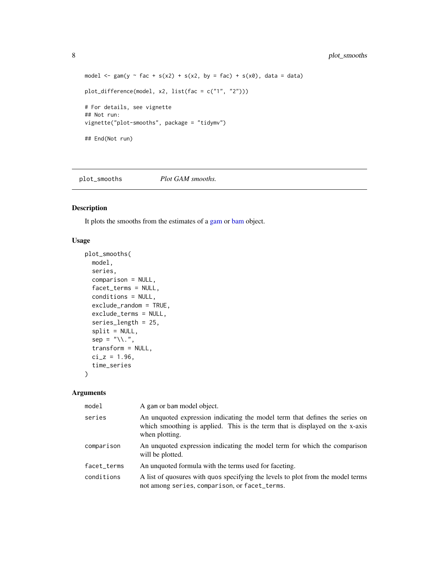```
model \leq gam(y \leq fac + s(x2) + s(x2, by = fac) + s(x0), data = data)
plot_difference(model, x2, list(fac = c("1", "2")))
# For details, see vignette
## Not run:
vignette("plot-smooths", package = "tidymv")
## End(Not run)
```
<span id="page-7-1"></span>plot\_smooths *Plot GAM smooths.*

#### Description

It plots the smooths from the estimates of a [gam](#page-0-0) or [bam](#page-0-0) object.

#### Usage

```
plot_smooths(
  model,
  series,
  comparison = NULL,
  facet_terms = NULL,
  conditions = NULL,
  exclude_random = TRUE,
  exclude_terms = NULL,
  series_length = 25,
  split = NULL,
  sep = "\\\ \langle \cdot \rangle",
  transform = NULL,
  ci_z = 1.96,
  time_series
\mathcal{L}
```
#### Arguments

| model       | A gam or bam model object.                                                                                                                                                    |
|-------------|-------------------------------------------------------------------------------------------------------------------------------------------------------------------------------|
| series      | An unquoted expression indicating the model term that defines the series on<br>which smoothing is applied. This is the term that is displayed on the x-axis<br>when plotting. |
| comparison  | An unquoted expression indicating the model term for which the comparison<br>will be plotted.                                                                                 |
| facet_terms | An unquoted formula with the terms used for faceting.                                                                                                                         |
| conditions  | A list of quosures with quos specifying the levels to plot from the model terms<br>not among series, comparison, or facet_terms.                                              |

<span id="page-7-0"></span>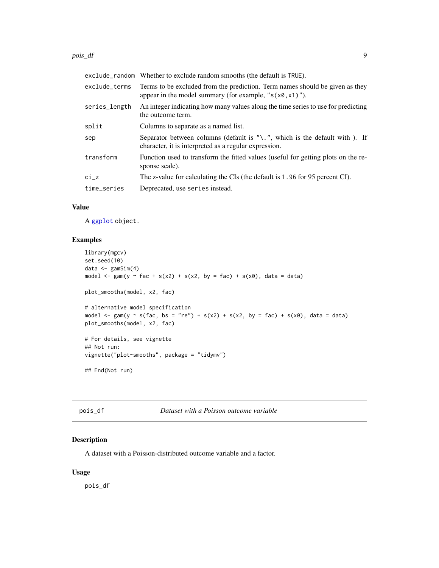#### <span id="page-8-0"></span>pois\_df 9

|               | exclude_random Whether to exclude random smooths (the default is TRUE).                                                                          |
|---------------|--------------------------------------------------------------------------------------------------------------------------------------------------|
| exclude_terms | Terms to be excluded from the prediction. Term names should be given as they<br>appear in the model summary (for example, " $s(x\theta, x1)$ "). |
| series_length | An integer indicating how many values along the time series to use for predicting<br>the outcome term.                                           |
| split         | Columns to separate as a named list.                                                                                                             |
| sep           | Separator between columns (default is " $\lambda$ ", which is the default with ). If<br>character, it is interpreted as a regular expression.    |
| transform     | Function used to transform the fitted values (useful for getting plots on the re-<br>sponse scale).                                              |
| $ci_z$        | The z-value for calculating the CIs (the default is 1.96 for 95 percent CI).                                                                     |
| time_series   | Deprecated, use series instead.                                                                                                                  |

#### Value

A [ggplot](#page-0-0) object.

#### Examples

```
library(mgcv)
set.seed(10)
data <- gamSim(4)
model \leq gam(y \sim fac + s(x2) + s(x2, by = fac) + s(x0), data = data)
plot_smooths(model, x2, fac)
# alternative model specification
model \leq gam(y \leq s(fac, bs = "re") + s(x2) + s(x2, by = fac) + s(x0), data = data)
plot_smooths(model, x2, fac)
# For details, see vignette
## Not run:
vignette("plot-smooths", package = "tidymv")
## End(Not run)
```
pois\_df *Dataset with a Poisson outcome variable*

#### Description

A dataset with a Poisson-distributed outcome variable and a factor.

#### Usage

pois\_df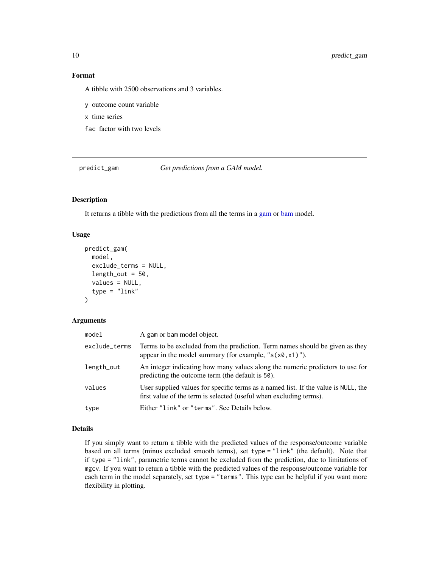#### Format

A tibble with 2500 observations and 3 variables.

y outcome count variable

x time series

fac factor with two levels

<span id="page-9-1"></span>predict\_gam *Get predictions from a GAM model.*

#### Description

It returns a tibble with the predictions from all the terms in a [gam](#page-0-0) or [bam](#page-0-0) model.

#### Usage

```
predict_gam(
  model,
  exclude_terms = NULL,
  length\_out = 50,values = NULL,
  type = "link"
)
```
#### Arguments

| model         | A gam or bam model object.                                                                                                                               |
|---------------|----------------------------------------------------------------------------------------------------------------------------------------------------------|
| exclude_terms | Terms to be excluded from the prediction. Term names should be given as they<br>appear in the model summary (for example, " $s(x\theta, x1)$ ").         |
| length_out    | An integer indicating how many values along the numeric predictors to use for<br>predicting the outcome term (the default is 50).                        |
| values        | User supplied values for specific terms as a named list. If the value is NULL, the<br>first value of the term is selected (useful when excluding terms). |
| type          | Either "link" or "terms". See Details below.                                                                                                             |

#### Details

If you simply want to return a tibble with the predicted values of the response/outcome variable based on all terms (minus excluded smooth terms), set type = "link" (the default). Note that if type = "link", parametric terms cannot be excluded from the prediction, due to limitations of mgcv. If you want to return a tibble with the predicted values of the response/outcome variable for each term in the model separately, set type = "terms". This type can be helpful if you want more flexibility in plotting.

<span id="page-9-0"></span>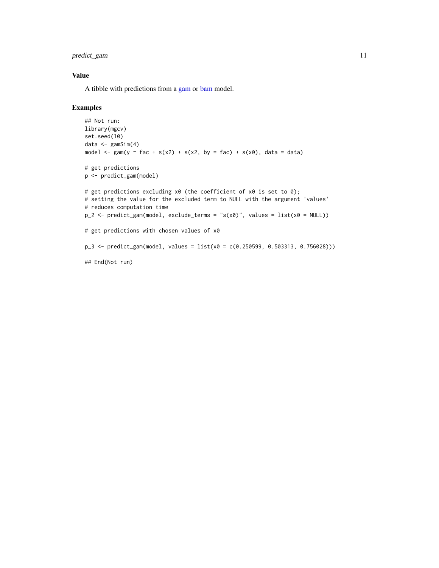<span id="page-10-0"></span>predict\_gam 11

#### Value

A tibble with predictions from a [gam](#page-0-0) or [bam](#page-0-0) model.

```
## Not run:
library(mgcv)
set.seed(10)
data <- gamSim(4)
model \leq gam(y \sim fac + s(x2) + s(x2, by = fac) + s(x0), data = data)
# get predictions
p <- predict_gam(model)
# get predictions excluding x0 (the coefficient of x0 is set to 0);
# setting the value for the excluded term to NULL with the argument 'values'
# reduces computation time
p_2 <- predict_gam(model, exclude_terms = "s(x0)", values = list(x0 = NULL))
# get predictions with chosen values of x0
p_3 <- predict_gam(model, values = list(x0 = c(0.250599, 0.503313, 0.756028)))
## End(Not run)
```